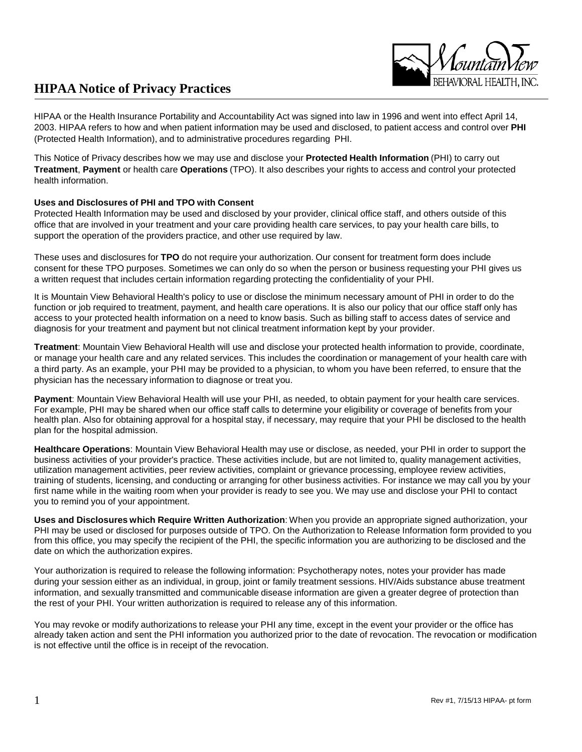HIPAA or the Health Insurance Portability and Accountability Act was signed into law in 1996 and went into effect April 14, 2003. HIPAA refers to how and when patient information may be used and disclosed, to patient access and control over **PHI** (Protected Health Information), and to administrative procedures regarding PHI.

This Notice of Privacy describes how we may use and disclose your **Protected Health Information** (PHI) to carry out **Treatment**, **Payment** or health care **Operations** (TPO). It also describes your rights to access and control your protected health information.

#### **Uses and Disclosures of PHI and TPO with Consent**

Protected Health Information may be used and disclosed by your provider, clinical office staff, and others outside of this office that are involved in your treatment and your care providing health care services, to pay your health care bills, to support the operation of the providers practice, and other use required by law.

These uses and disclosures for **TPO** do not require your authorization. Our consent for treatment form does include consent for these TPO purposes. Sometimes we can only do so when the person or business requesting your PHI gives us a written request that includes certain information regarding protecting the confidentiality of your PHI.

It is Mountain View Behavioral Health's policy to use or disclose the minimum necessary amount of PHI in order to do the function or job required to treatment, payment, and health care operations. It is also our policy that our office staff only has access to your protected health information on a need to know basis. Such as billing staff to access dates of service and diagnosis for your treatment and payment but not clinical treatment information kept by your provider.

**Treatment**: Mountain View Behavioral Health will use and disclose your protected health information to provide, coordinate, or manage your health care and any related services. This includes the coordination or management of your health care with a third party. As an example, your PHI may be provided to a physician, to whom you have been referred, to ensure that the physician has the necessary information to diagnose or treat you.

**Payment**: Mountain View Behavioral Health will use your PHI, as needed, to obtain payment for your health care services. For example, PHI may be shared when our office staff calls to determine your eligibility or coverage of benefits from your health plan. Also for obtaining approval for a hospital stay, if necessary, may require that your PHI be disclosed to the health plan for the hospital admission.

**Healthcare Operations**: Mountain View Behavioral Health may use or disclose, as needed, your PHI in order to support the business activities of your provider's practice. These activities include, but are not limited to, quality management activities, utilization management activities, peer review activities, complaint or grievance processing, employee review activities, training of students, licensing, and conducting or arranging for other business activities. For instance we may call you by your first name while in the waiting room when your provider is ready to see you. We may use and disclose your PHI to contact you to remind you of your appointment.

**Uses and Disclosures which Require Written Authorization**: When you provide an appropriate signed authorization, your PHI may be used or disclosed for purposes outside of TPO. On the Authorization to Release Information form provided to you from this office, you may specify the recipient of the PHI, the specific information you are authorizing to be disclosed and the date on which the authorization expires.

Your authorization is required to release the following information: Psychotherapy notes, notes your provider has made during your session either as an individual, in group, joint or family treatment sessions. HIV/Aids substance abuse treatment information, and sexually transmitted and communicable disease information are given a greater degree of protection than the rest of your PHI. Your written authorization is required to release any of this information.

You may revoke or modify authorizations to release your PHI any time, except in the event your provider or the office has already taken action and sent the PHI information you authorized prior to the date of revocation. The revocation or modification is not effective until the office is in receipt of the revocation.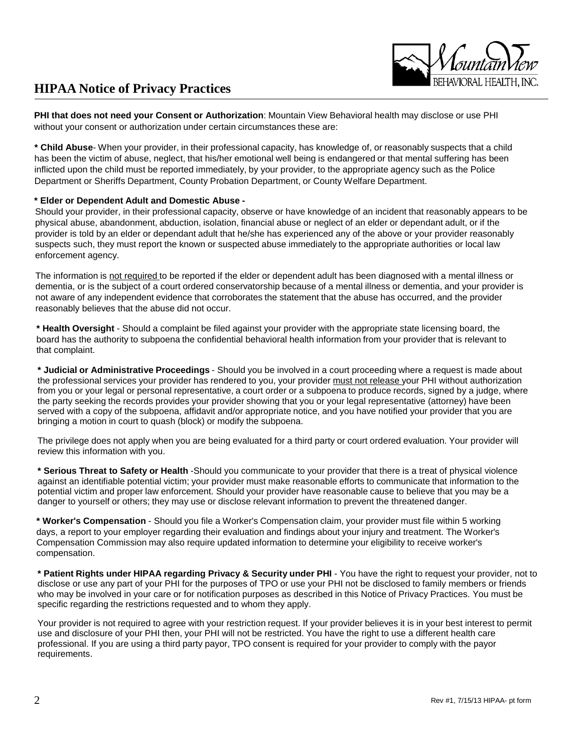

**PHI that does not need your Consent or Authorization**: Mountain View Behavioral health may disclose or use PHI without your consent or authorization under certain circumstances these are:

**\* Child Abuse**- When your provider, in their professional capacity, has knowledge of, or reasonably suspects that a child has been the victim of abuse, neglect, that his/her emotional well being is endangered or that mental suffering has been inflicted upon the child must be reported immediately, by your provider, to the appropriate agency such as the Police Department or Sheriffs Department, County Probation Department, or County Welfare Department.

#### **\* Elder or Dependent Adult and Domestic Abuse -**

Should your provider, in their professional capacity, observe or have knowledge of an incident that reasonably appears to be physical abuse, abandonment, abduction, isolation, financial abuse or neglect of an elder or dependant adult, or if the provider is told by an elder or dependant adult that he/she has experienced any of the above or your provider reasonably suspects such, they must report the known or suspected abuse immediately to the appropriate authorities or local law enforcement agency.

The information is not required to be reported if the elder or dependent adult has been diagnosed with a mental illness or dementia, or is the subject of a court ordered conservatorship because of a mental illness or dementia, and your provider is not aware of any independent evidence that corroborates the statement that the abuse has occurred, and the provider reasonably believes that the abuse did not occur.

**\* Health Oversight** - Should a complaint be filed against your provider with the appropriate state licensing board, the board has the authority to subpoena the confidential behavioral health information from your provider that is relevant to that complaint.

**\* Judicial or Administrative Proceedings** - Should you be involved in a court proceeding where a request is made about the professional services your provider has rendered to you, your provider must not release your PHI without authorization from you or your legal or personal representative, a court order or a subpoena to produce records, signed by a judge, where the party seeking the records provides your provider showing that you or your legal representative (attorney) have been served with a copy of the subpoena, affidavit and/or appropriate notice, and you have notified your provider that you are bringing a motion in court to quash (block) or modify the subpoena.

The privilege does not apply when you are being evaluated for a third party or court ordered evaluation. Your provider will review this information with you.

**\* Serious Threat to Safety or Health** -Should you communicate to your provider that there is a treat of physical violence against an identifiable potential victim; your provider must make reasonable efforts to communicate that information to the potential victim and proper law enforcement. Should your provider have reasonable cause to believe that you may be a danger to yourself or others; they may use or disclose relevant information to prevent the threatened danger.

**\* Worker's Compensation** - Should you file a Worker's Compensation claim, your provider must file within 5 working days, a report to your employer regarding their evaluation and findings about your injury and treatment. The Worker's Compensation Commission may also require updated information to determine your eligibility to receive worker's compensation.

**\* Patient Rights under HIPAA regarding Privacy & Security under PHI** - You have the right to request your provider, not to disclose or use any part of your PHI for the purposes of TPO or use your PHI not be disclosed to family members or friends who may be involved in your care or for notification purposes as described in this Notice of Privacy Practices. You must be specific regarding the restrictions requested and to whom they apply.

Your provider is not required to agree with your restriction request. If your provider believes it is in your best interest to permit use and disclosure of your PHI then, your PHI will not be restricted. You have the right to use a different health care professional. If you are using a third party payor, TPO consent is required for your provider to comply with the payor requirements.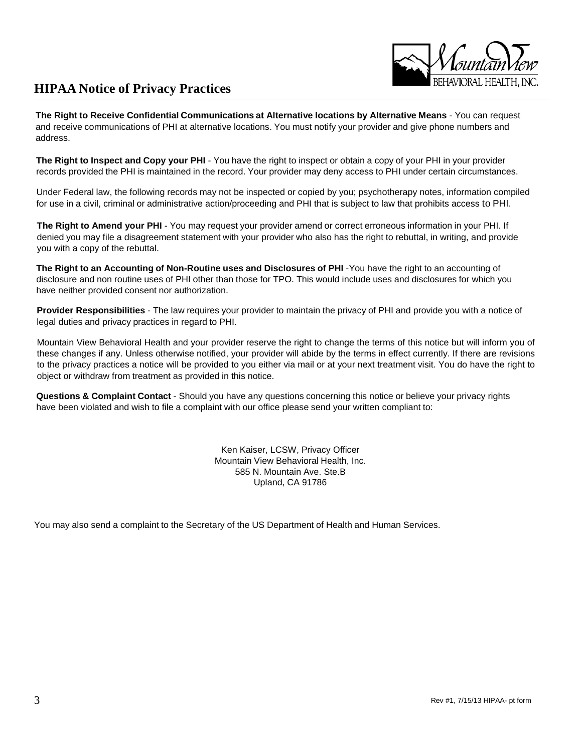

**The Right to Receive Confidential Communications at Alternative locations by Alternative Means** - You can request and receive communications of PHI at alternative locations. You must notify your provider and give phone numbers and address.

**The Right to Inspect and Copy your PHI** - You have the right to inspect or obtain a copy of your PHI in your provider records provided the PHI is maintained in the record. Your provider may deny access to PHI under certain circumstances.

Under Federal law, the following records may not be inspected or copied by you; psychotherapy notes, information compiled for use in a civil, criminal or administrative action/proceeding and PHI that is subject to law that prohibits access to PHI.

**The Right to Amend your PHI** - You may request your provider amend or correct erroneous information in your PHI. If denied you may file a disagreement statement with your provider who also has the right to rebuttal, in writing, and provide you with a copy of the rebuttal.

**The Right to an Accounting of Non-Routine uses and Disclosures of PHI** -You have the right to an accounting of disclosure and non routine uses of PHI other than those for TPO. This would include uses and disclosures for which you have neither provided consent nor authorization.

**Provider Responsibilities** - The law requires your provider to maintain the privacy of PHI and provide you with a notice of legal duties and privacy practices in regard to PHI.

Mountain View Behavioral Health and your provider reserve the right to change the terms of this notice but will inform you of these changes if any. Unless otherwise notified, your provider will abide by the terms in effect currently. If there are revisions to the privacy practices a notice will be provided to you either via mail or at your next treatment visit. You do have the right to object or withdraw from treatment as provided in this notice.

**Questions & Complaint Contact** - Should you have any questions concerning this notice or believe your privacy rights have been violated and wish to file a complaint with our office please send your written compliant to:

> Ken Kaiser, LCSW, Privacy Officer Mountain View Behavioral Health, Inc. 585 N. Mountain Ave. Ste.B Upland, CA 91786

You may also send a complaint to the Secretary of the US Department of Health and Human Services.